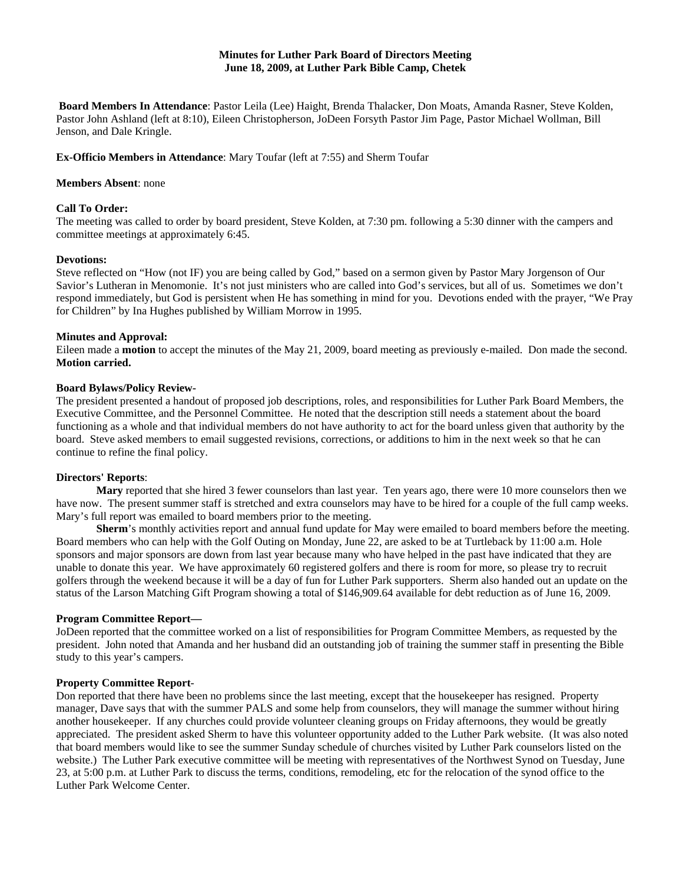## **Minutes for Luther Park Board of Directors Meeting June 18, 2009, at Luther Park Bible Camp, Chetek**

**Board Members In Attendance**: Pastor Leila (Lee) Haight, Brenda Thalacker, Don Moats, Amanda Rasner, Steve Kolden, Pastor John Ashland (left at 8:10), Eileen Christopherson, JoDeen Forsyth Pastor Jim Page, Pastor Michael Wollman, Bill Jenson, and Dale Kringle.

## **Ex-Officio Members in Attendance**: Mary Toufar (left at 7:55) and Sherm Toufar

#### **Members Absent**: none

### **Call To Order:**

The meeting was called to order by board president, Steve Kolden, at 7:30 pm. following a 5:30 dinner with the campers and committee meetings at approximately 6:45.

#### **Devotions:**

Steve reflected on "How (not IF) you are being called by God," based on a sermon given by Pastor Mary Jorgenson of Our Savior's Lutheran in Menomonie. It's not just ministers who are called into God's services, but all of us. Sometimes we don't respond immediately, but God is persistent when He has something in mind for you. Devotions ended with the prayer, "We Pray for Children" by Ina Hughes published by William Morrow in 1995.

#### **Minutes and Approval:**

Eileen made a **motion** to accept the minutes of the May 21, 2009, board meeting as previously e-mailed. Don made the second. **Motion carried.** 

## **Board Bylaws/Policy Review-**

The president presented a handout of proposed job descriptions, roles, and responsibilities for Luther Park Board Members, the Executive Committee, and the Personnel Committee. He noted that the description still needs a statement about the board functioning as a whole and that individual members do not have authority to act for the board unless given that authority by the board. Steve asked members to email suggested revisions, corrections, or additions to him in the next week so that he can continue to refine the final policy.

## **Directors' Reports**:

**Mary** reported that she hired 3 fewer counselors than last year. Ten years ago, there were 10 more counselors then we have now. The present summer staff is stretched and extra counselors may have to be hired for a couple of the full camp weeks. Mary's full report was emailed to board members prior to the meeting.

**Sherm**'s monthly activities report and annual fund update for May were emailed to board members before the meeting. Board members who can help with the Golf Outing on Monday, June 22, are asked to be at Turtleback by 11:00 a.m. Hole sponsors and major sponsors are down from last year because many who have helped in the past have indicated that they are unable to donate this year. We have approximately 60 registered golfers and there is room for more, so please try to recruit golfers through the weekend because it will be a day of fun for Luther Park supporters. Sherm also handed out an update on the status of the Larson Matching Gift Program showing a total of \$146,909.64 available for debt reduction as of June 16, 2009.

### **Program Committee Report—**

JoDeen reported that the committee worked on a list of responsibilities for Program Committee Members, as requested by the president. John noted that Amanda and her husband did an outstanding job of training the summer staff in presenting the Bible study to this year's campers.

#### **Property Committee Report**-

Don reported that there have been no problems since the last meeting, except that the housekeeper has resigned. Property manager, Dave says that with the summer PALS and some help from counselors, they will manage the summer without hiring another housekeeper. If any churches could provide volunteer cleaning groups on Friday afternoons, they would be greatly appreciated. The president asked Sherm to have this volunteer opportunity added to the Luther Park website. (It was also noted that board members would like to see the summer Sunday schedule of churches visited by Luther Park counselors listed on the website.) The Luther Park executive committee will be meeting with representatives of the Northwest Synod on Tuesday, June 23, at 5:00 p.m. at Luther Park to discuss the terms, conditions, remodeling, etc for the relocation of the synod office to the Luther Park Welcome Center.